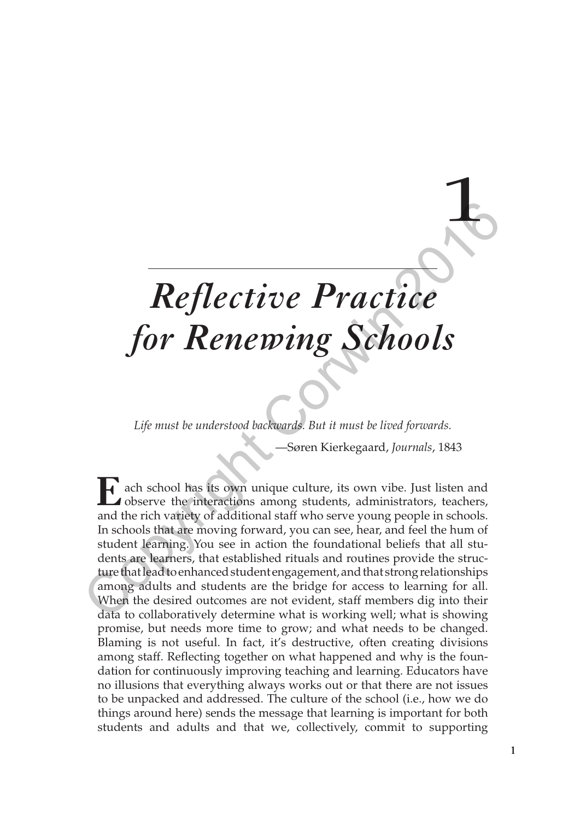*Life must be understood backwards. But it must be lived forwards.*

—Søren Kierkegaard, *Journals*, 1843

1

**E**ach school has its own unique culture, its own vibe. Just listen and observe the interactions among students, administrators, teachers, and the rich variety of additional staff who serve young people in schools. In schools that are moving forward, you can see, hear, and feel the hum of student learning. You see in action the foundational beliefs that all students are learners, that established rituals and routines provide the structure that lead to enhanced student engagement, and that strong relationships among adults and students are the bridge for access to learning for all. When the desired outcomes are not evident, staff members dig into their data to collaboratively determine what is working well; what is showing promise, but needs more time to grow; and what needs to be changed. Blaming is not useful. In fact, it's destructive, often creating divisions among staff. Reflecting together on what happened and why is the foundation for continuously improving teaching and learning. Educators have no illusions that everything always works out or that there are not issues to be unpacked and addressed. The culture of the school (i.e., how we do things around here) sends the message that learning is important for both students and adults and that we, collectively, commit to supporting **Reflective Practice**<br>for **Renewing Schools**<br>for **Renewing Schools**<br>tige must be understood backwards. But it must be lived forwards.<br>Life must be understood backwards. But it must be lived forwards.<br>—Soren Kierkegaard, Jo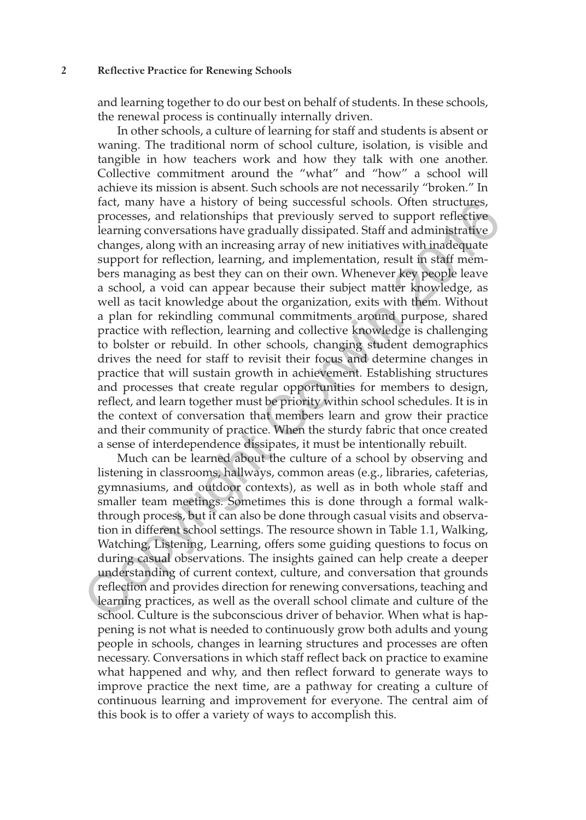and learning together to do our best on behalf of students. In these schools, the renewal process is continually internally driven.

In other schools, a culture of learning for staff and students is absent or waning. The traditional norm of school culture, isolation, is visible and tangible in how teachers work and how they talk with one another. Collective commitment around the "what" and "how" a school will achieve its mission is absent. Such schools are not necessarily "broken." In fact, many have a history of being successful schools. Often structures, processes, and relationships that previously served to support reflective learning conversations have gradually dissipated. Staff and administrative changes, along with an increasing array of new initiatives with inadequate support for reflection, learning, and implementation, result in staff members managing as best they can on their own. Whenever key people leave a school, a void can appear because their subject matter knowledge, as well as tacit knowledge about the organization, exits with them. Without a plan for rekindling communal commitments around purpose, shared practice with reflection, learning and collective knowledge is challenging to bolster or rebuild. In other schools, changing student demographics drives the need for staff to revisit their focus and determine changes in practice that will sustain growth in achievement. Establishing structures and processes that create regular opportunities for members to design, reflect, and learn together must be priority within school schedules. It is in the context of conversation that members learn and grow their practice and their community of practice. When the sturdy fabric that once created a sense of interdependence dissipates, it must be intentionally rebuilt. fact, many have a history of being successful schools. Othen structures,<br>processes, and relationships that previously served to support reflective<br>learning conversations have gradually dissipated. Staff and administrative<br>

Much can be learned about the culture of a school by observing and listening in classrooms, hallways, common areas (e.g., libraries, cafeterias, gymnasiums, and outdoor contexts), as well as in both whole staff and smaller team meetings. Sometimes this is done through a formal walkthrough process, but it can also be done through casual visits and observation in different school settings. The resource shown in Table 1.1, Walking, Watching, Listening, Learning, offers some guiding questions to focus on during casual observations. The insights gained can help create a deeper understanding of current context, culture, and conversation that grounds reflection and provides direction for renewing conversations, teaching and learning practices, as well as the overall school climate and culture of the school. Culture is the subconscious driver of behavior. When what is happening is not what is needed to continuously grow both adults and young people in schools, changes in learning structures and processes are often necessary. Conversations in which staff reflect back on practice to examine what happened and why, and then reflect forward to generate ways to improve practice the next time, are a pathway for creating a culture of continuous learning and improvement for everyone. The central aim of this book is to offer a variety of ways to accomplish this.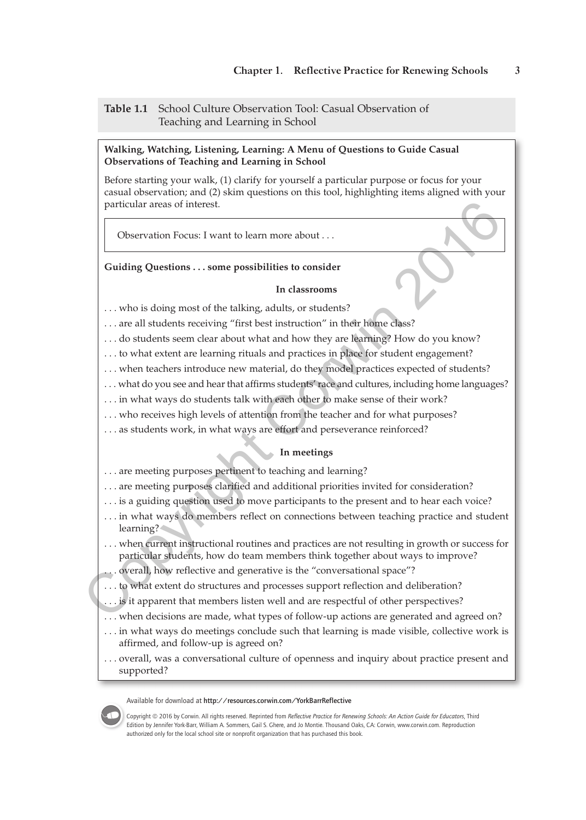## **Table 1.1** School Culture Observation Tool: Casual Observation of Teaching and Learning in School

## **Walking, Watching, Listening, Learning: A Menu of Questions to Guide Casual Observations of Teaching and Learning in School**

Before starting your walk, (1) clarify for yourself a particular purpose or focus for your casual observation; and (2) skim questions on this tool, highlighting items aligned with your particular areas of interest.

Observation Focus: I want to learn more about . . .

#### **Guiding Questions . . . some possibilities to consider**

#### **In classrooms**

- . . . who is doing most of the talking, adults, or students?
- . . . are all students receiving "first best instruction" in their home class?
- . . . do students seem clear about what and how they are learning? How do you know?
- . . . to what extent are learning rituals and practices in place for student engagement?
- . . . when teachers introduce new material, do they model practices expected of students?
- . . . what do you see and hear that affirms students' race and cultures, including home languages?
- . . . in what ways do students talk with each other to make sense of their work?
- . . . who receives high levels of attention from the teacher and for what purposes?
- . . . as students work, in what ways are effort and perseverance reinforced?

## **In meetings**

- . . . are meeting purposes pertinent to teaching and learning?
- . . . are meeting purposes clarified and additional priorities invited for consideration?
- . . . is a guiding question used to move participants to the present and to hear each voice?
- . . . in what ways do members reflect on connections between teaching practice and student learning?
- . . . when current instructional routines and practices are not resulting in growth or success for particular students, how do team members think together about ways to improve? Particular areas of interest.<br>
Cobservation Focus: I want to learn more about . . .<br>
Cuiding Questions . . . some possibilities to consider<br>
. . . who is doing most of the talking aduls, or students?<br>
. . . do students se
	- . . . overall, how reflective and generative is the "conversational space"?
	- . . . to what extent do structures and processes support reflection and deliberation?
	- . . . is it apparent that members listen well and are respectful of other perspectives?
	- . . . when decisions are made, what types of follow-up actions are generated and agreed on?
	- . . . in what ways do meetings conclude such that learning is made visible, collective work is affirmed, and follow-up is agreed on?
	- . . . overall, was a conversational culture of openness and inquiry about practice present and supported?

#### Available for download at http://resources.corwin.com/YorkBarrReflective

Copyright 2016 by Corwin. All rights reserved. Reprinted from *Reflective Practice for Renewing Schools: An Action Guide for Educators*, Third Edition by Jennifer York-Barr, William A. Sommers, Gail S. Ghere, and Jo Montie. Thousand Oaks, CA: Corwin, www.corwin.com. Reproduction authorized only for the local school site or nonprofit organization that has purchased this book.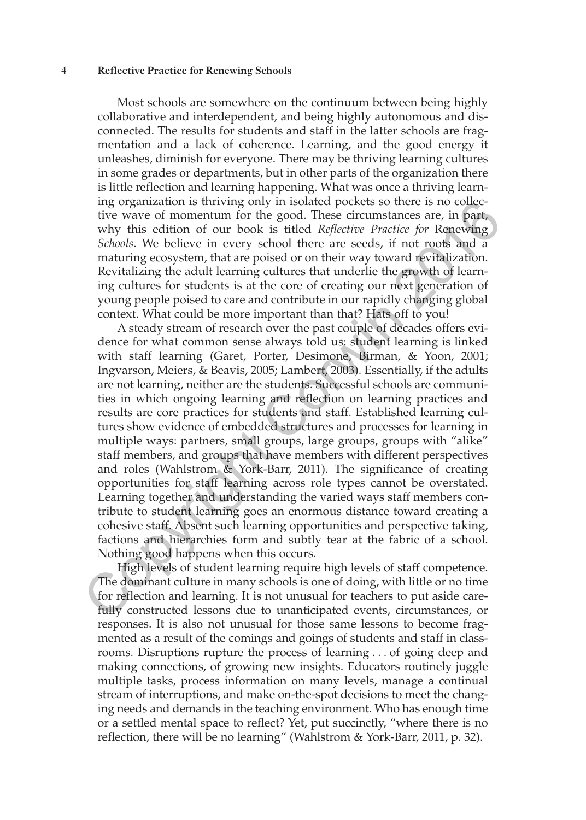Most schools are somewhere on the continuum between being highly collaborative and interdependent, and being highly autonomous and disconnected. The results for students and staff in the latter schools are fragmentation and a lack of coherence. Learning, and the good energy it unleashes, diminish for everyone. There may be thriving learning cultures in some grades or departments, but in other parts of the organization there is little reflection and learning happening. What was once a thriving learning organization is thriving only in isolated pockets so there is no collective wave of momentum for the good. These circumstances are, in part, why this edition of our book is titled *Reflective Practice for* Renewing *Schools*. We believe in every school there are seeds, if not roots and a maturing ecosystem, that are poised or on their way toward revitalization. Revitalizing the adult learning cultures that underlie the growth of learning cultures for students is at the core of creating our next generation of young people poised to care and contribute in our rapidly changing global context. What could be more important than that? Hats off to you!

A steady stream of research over the past couple of decades offers evidence for what common sense always told us: student learning is linked with staff learning (Garet, Porter, Desimone, Birman, & Yoon, 2001; Ingvarson, Meiers, & Beavis, 2005; Lambert, 2003). Essentially, if the adults are not learning, neither are the students. Successful schools are communities in which ongoing learning and reflection on learning practices and results are core practices for students and staff. Established learning cultures show evidence of embedded structures and processes for learning in multiple ways: partners, small groups, large groups, groups with "alike" staff members, and groups that have members with different perspectives and roles (Wahlstrom & York-Barr, 2011). The significance of creating opportunities for staff learning across role types cannot be overstated. Learning together and understanding the varied ways staff members contribute to student learning goes an enormous distance toward creating a cohesive staff. Absent such learning opportunities and perspective taking, factions and hierarchies form and subtly tear at the fabric of a school. Nothing good happens when this occurs. mg organization is thriving only in isolated pockets so there is no colect<br>tive wave of momettum for the good. These circumstances are, in part<br>why this edition of our book is titled *Reflective Practice for* Renewing<br>*Sch* 

High levels of student learning require high levels of staff competence. The dominant culture in many schools is one of doing, with little or no time for reflection and learning. It is not unusual for teachers to put aside carefully constructed lessons due to unanticipated events, circumstances, or responses. It is also not unusual for those same lessons to become fragmented as a result of the comings and goings of students and staff in classrooms. Disruptions rupture the process of learning . . . of going deep and making connections, of growing new insights. Educators routinely juggle multiple tasks, process information on many levels, manage a continual stream of interruptions, and make on-the-spot decisions to meet the changing needs and demands in the teaching environment. Who has enough time or a settled mental space to reflect? Yet, put succinctly, "where there is no reflection, there will be no learning" (Wahlstrom & York-Barr, 2011, p. 32).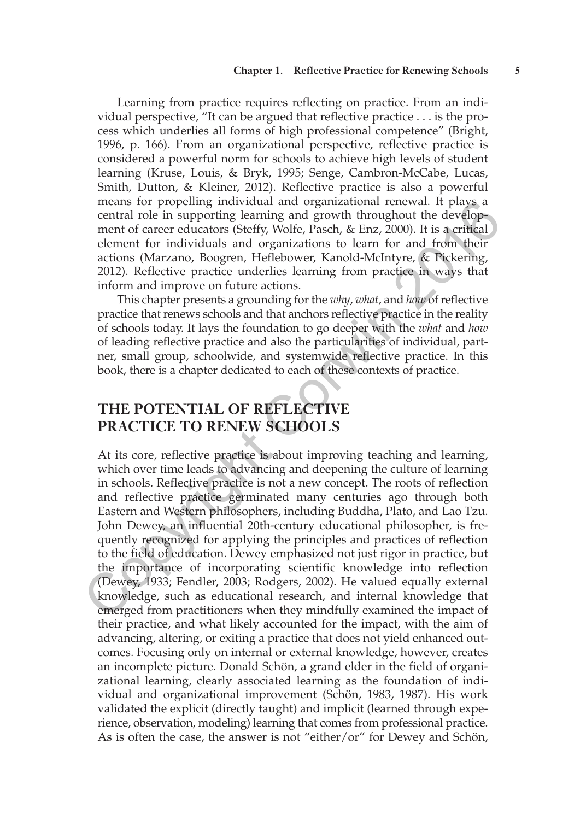Learning from practice requires reflecting on practice. From an individual perspective, "It can be argued that reflective practice . . . is the process which underlies all forms of high professional competence" (Bright, 1996, p. 166). From an organizational perspective, reflective practice is considered a powerful norm for schools to achieve high levels of student learning (Kruse, Louis, & Bryk, 1995; Senge, Cambron-McCabe, Lucas, Smith, Dutton, & Kleiner, 2012). Reflective practice is also a powerful means for propelling individual and organizational renewal. It plays a central role in supporting learning and growth throughout the development of career educators (Steffy, Wolfe, Pasch, & Enz, 2000). It is a critical element for individuals and organizations to learn for and from their actions (Marzano, Boogren, Heflebower, Kanold-McIntyre, & Pickering, 2012). Reflective practice underlies learning from practice in ways that inform and improve on future actions.

This chapter presents a grounding for the *why*, *what*, and *how* of reflective practice that renews schools and that anchors reflective practice in the reality of schools today. It lays the foundation to go deeper with the *what* and *how* of leading reflective practice and also the particularities of individual, partner, small group, schoolwide, and systemwide reflective practice. In this book, there is a chapter dedicated to each of these contexts of practice.

# **THE POTENTIAL OF REFLECTIVE PRACTICE TO RENEW SCHOOLS**

At its core, reflective practice is about improving teaching and learning, which over time leads to advancing and deepening the culture of learning in schools. Reflective practice is not a new concept. The roots of reflection and reflective practice germinated many centuries ago through both Eastern and Western philosophers, including Buddha, Plato, and Lao Tzu. John Dewey, an influential 20th-century educational philosopher, is frequently recognized for applying the principles and practices of reflection to the field of education. Dewey emphasized not just rigor in practice, but the importance of incorporating scientific knowledge into reflection (Dewey, 1933; Fendler, 2003; Rodgers, 2002). He valued equally external knowledge, such as educational research, and internal knowledge that emerged from practitioners when they mindfully examined the impact of their practice, and what likely accounted for the impact, with the aim of advancing, altering, or exiting a practice that does not yield enhanced outcomes. Focusing only on internal or external knowledge, however, creates an incomplete picture. Donald Schön, a grand elder in the field of organizational learning, clearly associated learning as the foundation of individual and organizational improvement (Schön, 1983, 1987). His work validated the explicit (directly taught) and implicit (learned through experience, observation, modeling) learning that comes from professional practice. As is often the case, the answer is not "either/or" for Dewey and Schön, means tor propelling maturial and organizational renewal. It pays a<br>entral red in supporting learning and growth throughout the develop-<br>enert of career educators (Steffy, Wolfe, Pasch, & Enz, 2000). It is a critical<br>elem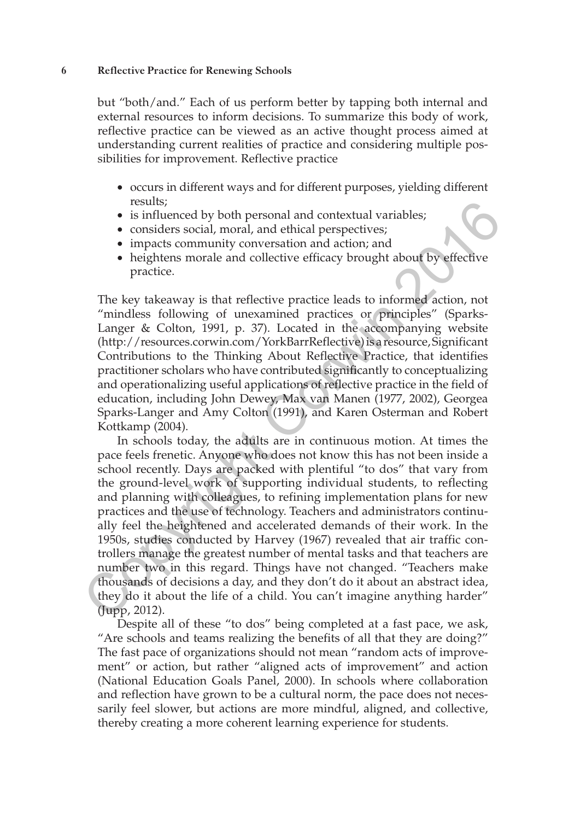but "both/and." Each of us perform better by tapping both internal and external resources to inform decisions. To summarize this body of work, reflective practice can be viewed as an active thought process aimed at understanding current realities of practice and considering multiple possibilities for improvement. Reflective practice

- occurs in different ways and for different purposes, yielding different results;
- is influenced by both personal and contextual variables;
- considers social, moral, and ethical perspectives;
- impacts community conversation and action; and
- heightens morale and collective efficacy brought about by effective practice.

The key takeaway is that reflective practice leads to informed action, not "mindless following of unexamined practices or principles" (Sparks-Langer & Colton, 1991, p. 37). Located in the accompanying website (http://resources.corwin.com/YorkBarrReflective) is a resource, Significant Contributions to the Thinking About Reflective Practice, that identifies practitioner scholars who have contributed significantly to conceptualizing and operationalizing useful applications of reflective practice in the field of education, including John Dewey, Max van Manen (1977, 2002), Georgea Sparks-Langer and Amy Colton (1991), and Karen Osterman and Robert Kottkamp (2004).

In schools today, the adults are in continuous motion. At times the pace feels frenetic. Anyone who does not know this has not been inside a school recently. Days are packed with plentiful "to dos" that vary from the ground-level work of supporting individual students, to reflecting and planning with colleagues, to refining implementation plans for new practices and the use of technology. Teachers and administrators continually feel the heightened and accelerated demands of their work. In the 1950s, studies conducted by Harvey (1967) revealed that air traffic controllers manage the greatest number of mental tasks and that teachers are number two in this regard. Things have not changed. "Teachers make thousands of decisions a day, and they don't do it about an abstract idea, they do it about the life of a child. You can't imagine anything harder" (Jupp, 2012). results;<br>
• is influenced by both personal and contextual variables;<br>
• is influenced by both personal and action; and<br>
• heightens morale and collective efficacy brought about by effective<br>
• heightens morale and collecti

Despite all of these "to dos" being completed at a fast pace, we ask, "Are schools and teams realizing the benefits of all that they are doing?" The fast pace of organizations should not mean "random acts of improvement" or action, but rather "aligned acts of improvement" and action (National Education Goals Panel, 2000). In schools where collaboration and reflection have grown to be a cultural norm, the pace does not necessarily feel slower, but actions are more mindful, aligned, and collective, thereby creating a more coherent learning experience for students.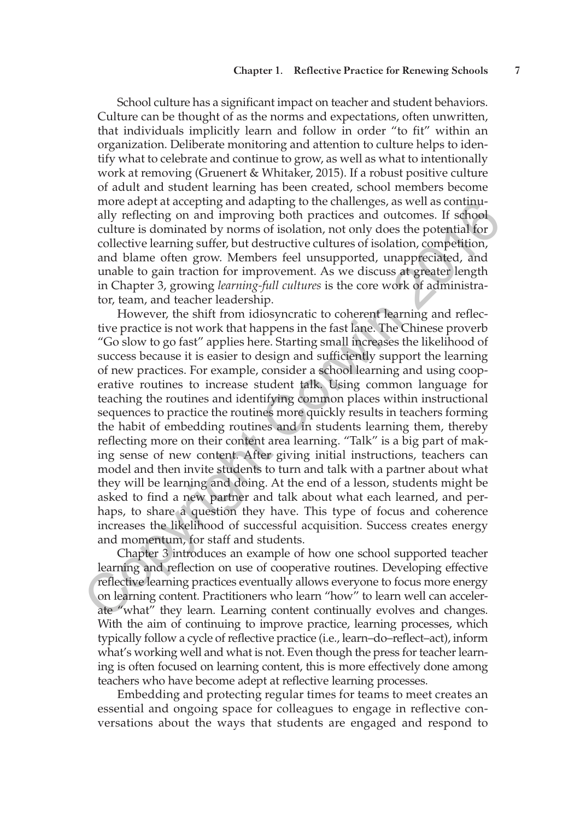School culture has a significant impact on teacher and student behaviors. Culture can be thought of as the norms and expectations, often unwritten, that individuals implicitly learn and follow in order "to fit" within an organization. Deliberate monitoring and attention to culture helps to identify what to celebrate and continue to grow, as well as what to intentionally work at removing (Gruenert & Whitaker, 2015). If a robust positive culture of adult and student learning has been created, school members become more adept at accepting and adapting to the challenges, as well as continually reflecting on and improving both practices and outcomes. If school culture is dominated by norms of isolation, not only does the potential for collective learning suffer, but destructive cultures of isolation, competition, and blame often grow. Members feel unsupported, unappreciated, and unable to gain traction for improvement. As we discuss at greater length in Chapter 3, growing *learning-full cultures* is the core work of administrator, team, and teacher leadership.

However, the shift from idiosyncratic to coherent learning and reflective practice is not work that happens in the fast lane. The Chinese proverb "Go slow to go fast" applies here. Starting small increases the likelihood of success because it is easier to design and sufficiently support the learning of new practices. For example, consider a school learning and using cooperative routines to increase student talk. Using common language for teaching the routines and identifying common places within instructional sequences to practice the routines more quickly results in teachers forming the habit of embedding routines and in students learning them, thereby reflecting more on their content area learning. "Talk" is a big part of making sense of new content. After giving initial instructions, teachers can model and then invite students to turn and talk with a partner about what they will be learning and doing. At the end of a lesson, students might be asked to find a new partner and talk about what each learned, and perhaps, to share a question they have. This type of focus and coherence increases the likelihood of successful acquisition. Success creates energy and momentum, for staff and students. more adeptat accepture and adepting to the challenges, as well as continuated by normal in only does the potential for collective learning suffer, but destructive cultures is dominated by norms of isolation, not only does

Chapter 3 introduces an example of how one school supported teacher learning and reflection on use of cooperative routines. Developing effective reflective learning practices eventually allows everyone to focus more energy on learning content. Practitioners who learn "how" to learn well can accelerate "what" they learn. Learning content continually evolves and changes. With the aim of continuing to improve practice, learning processes, which typically follow a cycle of reflective practice (i.e., learn–do–reflect–act), inform what's working well and what is not. Even though the press for teacher learning is often focused on learning content, this is more effectively done among teachers who have become adept at reflective learning processes.

Embedding and protecting regular times for teams to meet creates an essential and ongoing space for colleagues to engage in reflective conversations about the ways that students are engaged and respond to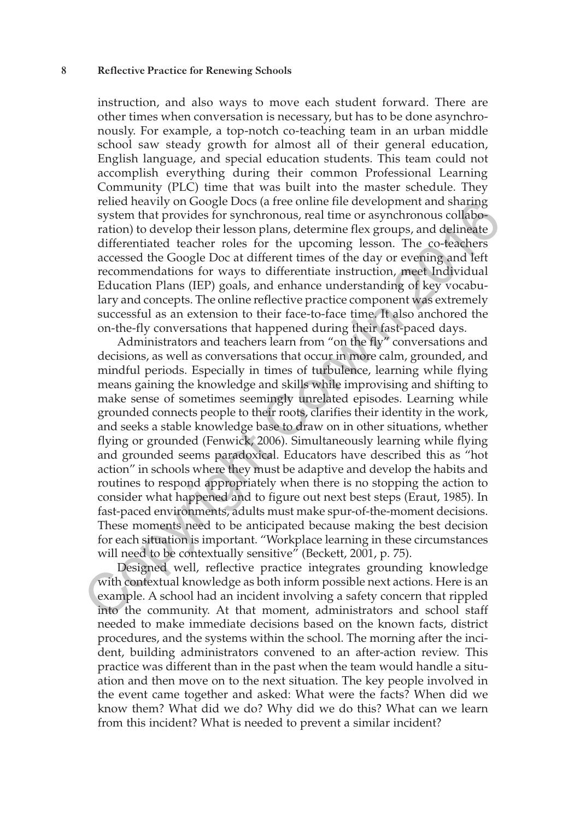instruction, and also ways to move each student forward. There are other times when conversation is necessary, but has to be done asynchronously. For example, a top-notch co-teaching team in an urban middle school saw steady growth for almost all of their general education, English language, and special education students. This team could not accomplish everything during their common Professional Learning Community (PLC) time that was built into the master schedule. They relied heavily on Google Docs (a free online file development and sharing system that provides for synchronous, real time or asynchronous collaboration) to develop their lesson plans, determine flex groups, and delineate differentiated teacher roles for the upcoming lesson. The co-teachers accessed the Google Doc at different times of the day or evening and left recommendations for ways to differentiate instruction, meet Individual Education Plans (IEP) goals, and enhance understanding of key vocabulary and concepts. The online reflective practice component was extremely successful as an extension to their face-to-face time. It also anchored the on-the-fly conversations that happened during their fast-paced days.

Administrators and teachers learn from "on the fly" conversations and decisions, as well as conversations that occur in more calm, grounded, and mindful periods. Especially in times of turbulence, learning while flying means gaining the knowledge and skills while improvising and shifting to make sense of sometimes seemingly unrelated episodes. Learning while grounded connects people to their roots, clarifies their identity in the work, and seeks a stable knowledge base to draw on in other situations, whether flying or grounded (Fenwick, 2006). Simultaneously learning while flying and grounded seems paradoxical. Educators have described this as "hot action" in schools where they must be adaptive and develop the habits and routines to respond appropriately when there is no stopping the action to consider what happened and to figure out next best steps (Eraut, 1985). In fast-paced environments, adults must make spur-of-the-moment decisions. These moments need to be anticipated because making the best decision for each situation is important. "Workplace learning in these circumstances will need to be contextually sensitive" (Beckett, 2001, p. 75). relate havaily on Google Docs (a free online file development and sharing expected restrington to develop their lesson plans, determine filex groups, and delineate differentiated teacher roles for the upcoming lesson. The

Designed well, reflective practice integrates grounding knowledge with contextual knowledge as both inform possible next actions. Here is an example. A school had an incident involving a safety concern that rippled into the community. At that moment, administrators and school staff needed to make immediate decisions based on the known facts, district procedures, and the systems within the school. The morning after the incident, building administrators convened to an after-action review. This practice was different than in the past when the team would handle a situation and then move on to the next situation. The key people involved in the event came together and asked: What were the facts? When did we know them? What did we do? Why did we do this? What can we learn from this incident? What is needed to prevent a similar incident?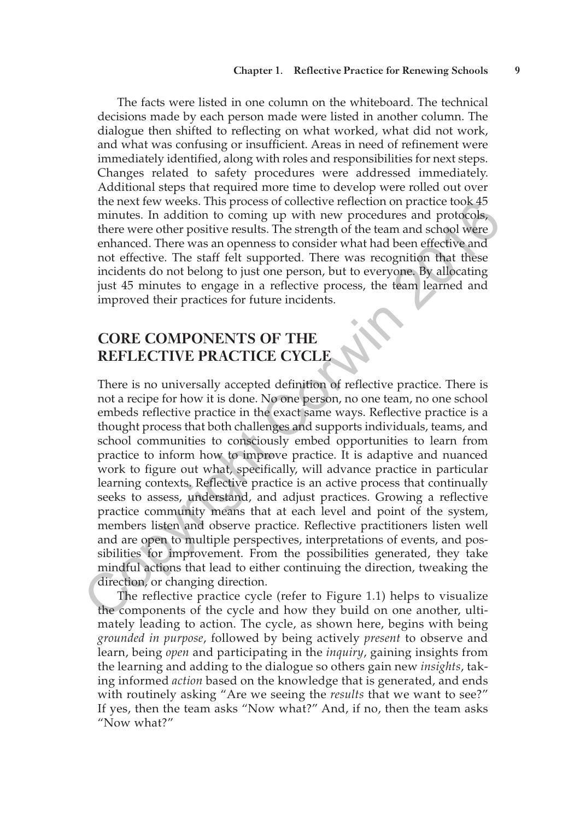The facts were listed in one column on the whiteboard. The technical decisions made by each person made were listed in another column. The dialogue then shifted to reflecting on what worked, what did not work, and what was confusing or insufficient. Areas in need of refinement were immediately identified, along with roles and responsibilities for next steps. Changes related to safety procedures were addressed immediately. Additional steps that required more time to develop were rolled out over the next few weeks. This process of collective reflection on practice took 45 minutes. In addition to coming up with new procedures and protocols, there were other positive results. The strength of the team and school were enhanced. There was an openness to consider what had been effective and not effective. The staff felt supported. There was recognition that these incidents do not belong to just one person, but to everyone. By allocating just 45 minutes to engage in a reflective process, the team learned and improved their practices for future incidents.

## **CORE COMPONENTS OF THE REFLECTIVE PRACTICE CYCLE**

There is no universally accepted definition of reflective practice. There is not a recipe for how it is done. No one person, no one team, no one school embeds reflective practice in the exact same ways. Reflective practice is a thought process that both challenges and supports individuals, teams, and school communities to consciously embed opportunities to learn from practice to inform how to improve practice. It is adaptive and nuanced work to figure out what, specifically, will advance practice in particular learning contexts. Reflective practice is an active process that continually seeks to assess, understand, and adjust practices. Growing a reflective practice community means that at each level and point of the system, members listen and observe practice. Reflective practitioners listen well and are open to multiple perspectives, interpretations of events, and possibilities for improvement. From the possibilities generated, they take mindful actions that lead to either continuing the direction, tweaking the direction, or changing direction. the next tew weeks. Inspreases of collective perfection on practice took-as<br>minutes. In addition to coming up with new procedures and protocols<br>there were other positive results. The stereygth of the team and school were<br>

The reflective practice cycle (refer to Figure 1.1) helps to visualize the components of the cycle and how they build on one another, ultimately leading to action. The cycle, as shown here, begins with being *grounded in purpose*, followed by being actively *present* to observe and learn, being *open* and participating in the *inquiry*, gaining insights from the learning and adding to the dialogue so others gain new *insights*, taking informed *action* based on the knowledge that is generated, and ends with routinely asking "Are we seeing the *results* that we want to see?" If yes, then the team asks "Now what?" And, if no, then the team asks "Now what?"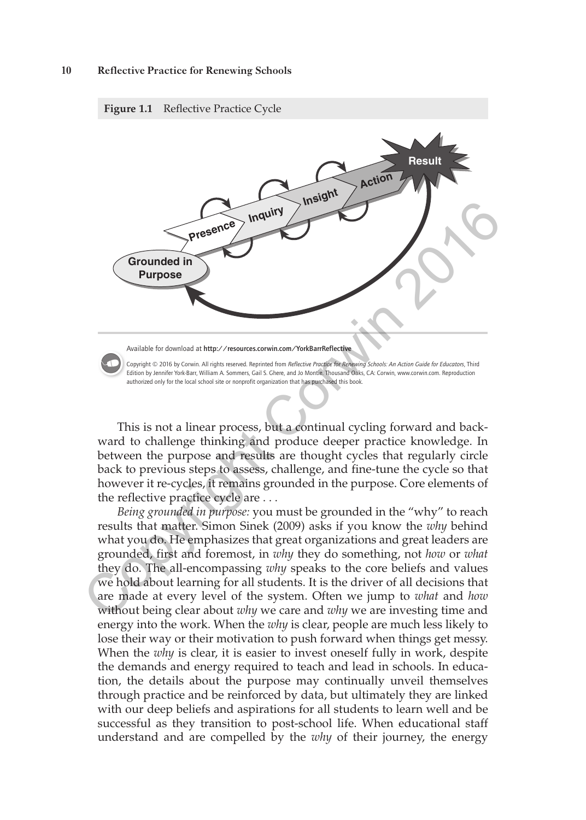



This is not a linear process, but a continual cycling forward and backward to challenge thinking and produce deeper practice knowledge. In between the purpose and results are thought cycles that regularly circle back to previous steps to assess, challenge, and fine-tune the cycle so that however it re-cycles, it remains grounded in the purpose. Core elements of the reflective practice cycle are . . .

*Being grounded in purpose:* you must be grounded in the "why" to reach results that matter. Simon Sinek (2009) asks if you know the *why* behind what you do. He emphasizes that great organizations and great leaders are grounded, first and foremost, in *why* they do something, not *how* or *what* they do. The all-encompassing *why* speaks to the core beliefs and values we hold about learning for all students. It is the driver of all decisions that are made at every level of the system. Often we jump to *what* and *how* without being clear about *why* we care and *why* we are investing time and energy into the work. When the *why* is clear, people are much less likely to lose their way or their motivation to push forward when things get messy. When the *why* is clear, it is easier to invest oneself fully in work, despite the demands and energy required to teach and lead in schools. In education, the details about the purpose may continually unveil themselves through practice and be reinforced by data, but ultimately they are linked with our deep beliefs and aspirations for all students to learn well and be successful as they transition to post-school life. When educational staff understand and are compelled by the *why* of their journey, the energy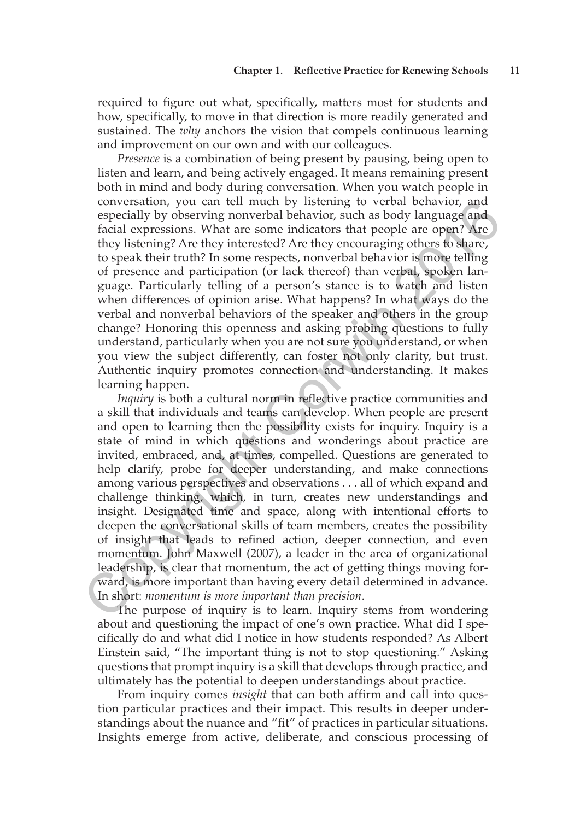required to figure out what, specifically, matters most for students and how, specifically, to move in that direction is more readily generated and sustained. The *why* anchors the vision that compels continuous learning and improvement on our own and with our colleagues.

*Presence* is a combination of being present by pausing, being open to listen and learn, and being actively engaged. It means remaining present both in mind and body during conversation. When you watch people in conversation, you can tell much by listening to verbal behavior, and especially by observing nonverbal behavior, such as body language and facial expressions. What are some indicators that people are open? Are they listening? Are they interested? Are they encouraging others to share, to speak their truth? In some respects, nonverbal behavior is more telling of presence and participation (or lack thereof) than verbal, spoken language. Particularly telling of a person's stance is to watch and listen when differences of opinion arise. What happens? In what ways do the verbal and nonverbal behaviors of the speaker and others in the group change? Honoring this openness and asking probing questions to fully understand, particularly when you are not sure you understand, or when you view the subject differently, can foster not only clarity, but trust. Authentic inquiry promotes connection and understanding. It makes learning happen.

*Inquiry* is both a cultural norm in reflective practice communities and a skill that individuals and teams can develop. When people are present and open to learning then the possibility exists for inquiry. Inquiry is a state of mind in which questions and wonderings about practice are invited, embraced, and, at times, compelled. Questions are generated to help clarify, probe for deeper understanding, and make connections among various perspectives and observations . . . all of which expand and challenge thinking, which, in turn, creates new understandings and insight. Designated time and space, along with intentional efforts to deepen the conversational skills of team members, creates the possibility of insight that leads to refined action, deeper connection, and even momentum. John Maxwell (2007), a leader in the area of organizational leadership, is clear that momentum, the act of getting things moving forward, is more important than having every detail determined in advance. In short: *momentum is more important than precision*. conversation, you can fiell much by insteming to verbal behavior, and a solid approach for sepecially by observing nonverbal behavior, such as body language and facial expressions. What are some indicators that people are

The purpose of inquiry is to learn. Inquiry stems from wondering about and questioning the impact of one's own practice. What did I specifically do and what did I notice in how students responded? As Albert Einstein said, "The important thing is not to stop questioning." Asking questions that prompt inquiry is a skill that develops through practice, and ultimately has the potential to deepen understandings about practice.

From inquiry comes *insight* that can both affirm and call into question particular practices and their impact. This results in deeper understandings about the nuance and "fit" of practices in particular situations. Insights emerge from active, deliberate, and conscious processing of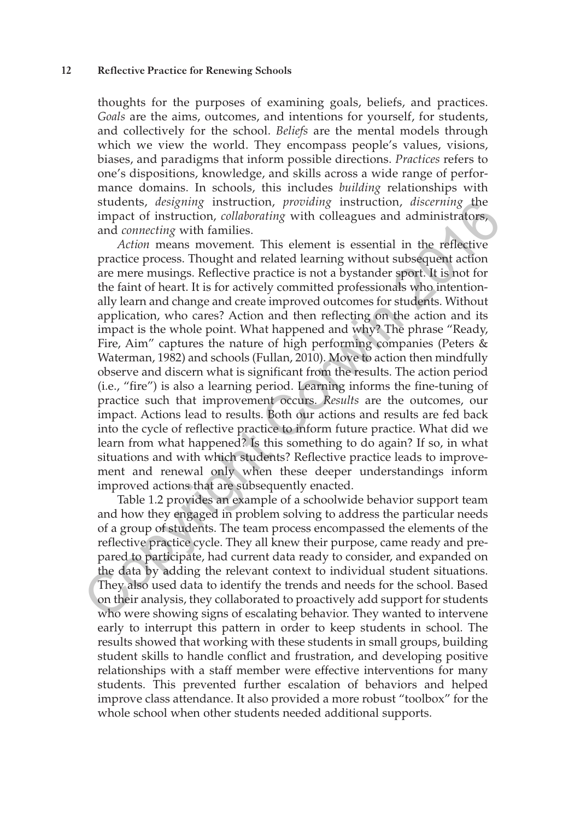thoughts for the purposes of examining goals, beliefs, and practices. *Goals* are the aims, outcomes, and intentions for yourself, for students, and collectively for the school. *Beliefs* are the mental models through which we view the world. They encompass people's values, visions, biases, and paradigms that inform possible directions. *Practices* refers to one's dispositions, knowledge, and skills across a wide range of performance domains. In schools, this includes *building* relationships with students, *designing* instruction, *providing* instruction, *discerning* the impact of instruction, *collaborating* with colleagues and administrators, and *connecting* with families.

*Action* means movement*.* This element is essential in the reflective practice process. Thought and related learning without subsequent action are mere musings. Reflective practice is not a bystander sport. It is not for the faint of heart. It is for actively committed professionals who intentionally learn and change and create improved outcomes for students. Without application, who cares? Action and then reflecting on the action and its impact is the whole point. What happened and why? The phrase "Ready, Fire, Aim" captures the nature of high performing companies (Peters & Waterman, 1982) and schools (Fullan, 2010). Move to action then mindfully observe and discern what is significant from the results. The action period (i.e., "fire") is also a learning period. Learning informs the fine-tuning of practice such that improvement occurs. *Results* are the outcomes, our impact. Actions lead to results. Both our actions and results are fed back into the cycle of reflective practice to inform future practice. What did we learn from what happened? Is this something to do again? If so, in what situations and with which students? Reflective practice leads to improvement and renewal only when these deeper understandings inform improved actions that are subsequently enacted. students, *designing* instruction, *providing* instruction, *discerning* the mate of instruction, *collaborating* with collegues and administrators, and *connecting* with families.  $\Delta t$  is expective practice process. Tho

Table 1.2 provides an example of a schoolwide behavior support team and how they engaged in problem solving to address the particular needs of a group of students. The team process encompassed the elements of the reflective practice cycle. They all knew their purpose, came ready and prepared to participate, had current data ready to consider, and expanded on the data by adding the relevant context to individual student situations. They also used data to identify the trends and needs for the school. Based on their analysis, they collaborated to proactively add support for students who were showing signs of escalating behavior. They wanted to intervene early to interrupt this pattern in order to keep students in school. The results showed that working with these students in small groups, building student skills to handle conflict and frustration, and developing positive relationships with a staff member were effective interventions for many students. This prevented further escalation of behaviors and helped improve class attendance. It also provided a more robust "toolbox" for the whole school when other students needed additional supports.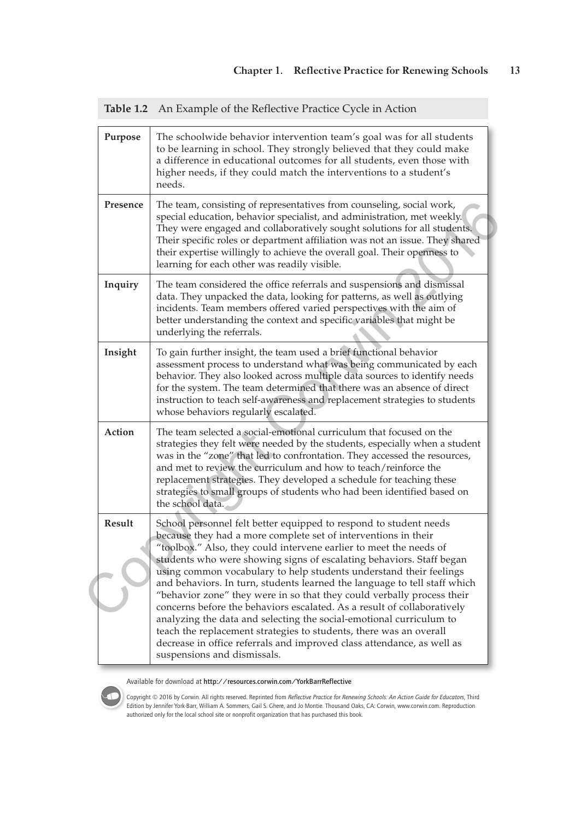| Purpose  | The schoolwide behavior intervention team's goal was for all students<br>to be learning in school. They strongly believed that they could make<br>a difference in educational outcomes for all students, even those with<br>higher needs, if they could match the interventions to a student's<br>needs.                                                                                                                                                                                                                                                                                                                                                                                                                                                                                                                                        |
|----------|-------------------------------------------------------------------------------------------------------------------------------------------------------------------------------------------------------------------------------------------------------------------------------------------------------------------------------------------------------------------------------------------------------------------------------------------------------------------------------------------------------------------------------------------------------------------------------------------------------------------------------------------------------------------------------------------------------------------------------------------------------------------------------------------------------------------------------------------------|
| Presence | The team, consisting of representatives from counseling, social work,<br>special education, behavior specialist, and administration, met weekly.<br>They were engaged and collaboratively sought solutions for all students.<br>Their specific roles or department affiliation was not an issue. They shared<br>their expertise willingly to achieve the overall goal. Their openness to<br>learning for each other was readily visible.                                                                                                                                                                                                                                                                                                                                                                                                        |
| Inquiry  | The team considered the office referrals and suspensions and dismissal<br>data. They unpacked the data, looking for patterns, as well as outlying<br>incidents. Team members offered varied perspectives with the aim of<br>better understanding the context and specific variables that might be<br>underlying the referrals.                                                                                                                                                                                                                                                                                                                                                                                                                                                                                                                  |
| Insight  | To gain further insight, the team used a brief functional behavior<br>assessment process to understand what was being communicated by each<br>behavior. They also looked across multiple data sources to identify needs<br>for the system. The team determined that there was an absence of direct<br>instruction to teach self-awareness and replacement strategies to students<br>whose behaviors regularly escalated.                                                                                                                                                                                                                                                                                                                                                                                                                        |
| Action   | The team selected a social-emotional curriculum that focused on the<br>strategies they felt were needed by the students, especially when a student<br>was in the "zone" that led to confrontation. They accessed the resources,<br>and met to review the curriculum and how to teach/reinforce the<br>replacement strategies. They developed a schedule for teaching these<br>strategies to small groups of students who had been identified based on<br>the school data.                                                                                                                                                                                                                                                                                                                                                                       |
| Result   | School personnel felt better equipped to respond to student needs<br>because they had a more complete set of interventions in their<br>"toolbox." Also, they could intervene earlier to meet the needs of<br>students who were showing signs of escalating behaviors. Staff began<br>using common vocabulary to help students understand their feelings<br>and behaviors. In turn, students learned the language to tell staff which<br>"behavior zone" they were in so that they could verbally process their<br>concerns before the behaviors escalated. As a result of collaboratively<br>analyzing the data and selecting the social-emotional curriculum to<br>teach the replacement strategies to students, there was an overall<br>decrease in office referrals and improved class attendance, as well as<br>suspensions and dismissals. |

| Table 1.2 An Example of the Reflective Practice Cycle in Action |  |
|-----------------------------------------------------------------|--|
|-----------------------------------------------------------------|--|

Available for download at http://resources.corwin.com/YorkBarrReflective

Copyright © 2016 by Corwin. All rights reserved. Reprinted from *Reflective Practice for Renewing Schools: An Action Guide for Educators*, Third<br>Edition by Jennifer York·Barr, William A. Sommers, Gail S. Ghere, and Jo Mon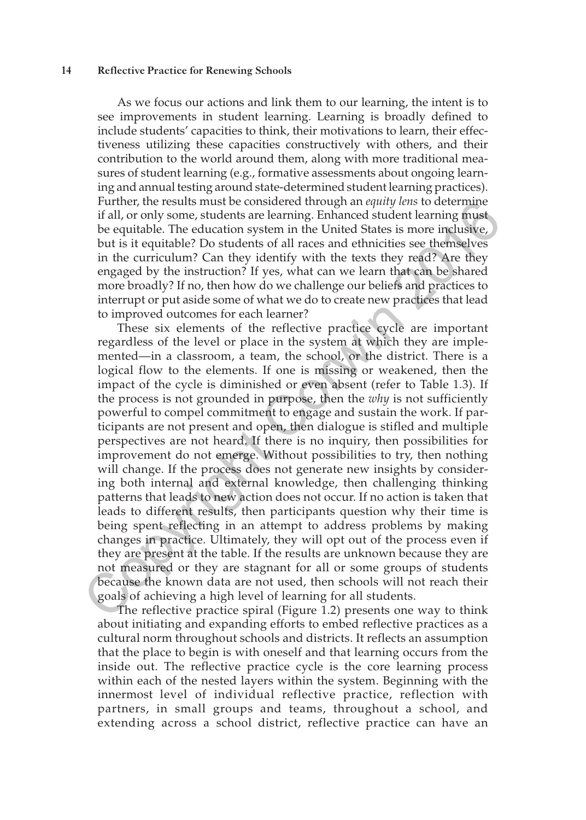As we focus our actions and link them to our learning, the intent is to see improvements in student learning. Learning is broadly defined to include students' capacities to think, their motivations to learn, their effectiveness utilizing these capacities constructively with others, and their contribution to the world around them, along with more traditional measures of student learning (e.g., formative assessments about ongoing learning and annual testing around state-determined student learning practices). Further, the results must be considered through an *equity lens* to determine if all, or only some, students are learning. Enhanced student learning must be equitable. The education system in the United States is more inclusive, but is it equitable? Do students of all races and ethnicities see themselves in the curriculum? Can they identify with the texts they read? Are they engaged by the instruction? If yes, what can we learn that can be shared more broadly? If no, then how do we challenge our beliefs and practices to interrupt or put aside some of what we do to create new practices that lead to improved outcomes for each learner?

These six elements of the reflective practice cycle are important regardless of the level or place in the system at which they are implemented—in a classroom, a team, the school, or the district. There is a logical flow to the elements. If one is missing or weakened, then the impact of the cycle is diminished or even absent (refer to Table 1.3). If the process is not grounded in purpose, then the *why* is not sufficiently powerful to compel commitment to engage and sustain the work. If participants are not present and open, then dialogue is stifled and multiple perspectives are not heard. If there is no inquiry, then possibilities for improvement do not emerge. Without possibilities to try, then nothing will change. If the process does not generate new insights by considering both internal and external knowledge, then challenging thinking patterns that leads to new action does not occur. If no action is taken that leads to different results, then participants question why their time is being spent reflecting in an attempt to address problems by making changes in practice. Ultimately, they will opt out of the process even if they are present at the table. If the results are unknown because they are not measured or they are stagnant for all or some groups of students because the known data are not used, then schools will not reach their goals of achieving a high level of learning for all students. Further, the results must be considered through an *equiliby lens* to determine<br>frail, or only some, students are learning. Enhanced student learning must<br>be equitable. The education system in the United States is more in

The reflective practice spiral (Figure 1.2) presents one way to think about initiating and expanding efforts to embed reflective practices as a cultural norm throughout schools and districts. It reflects an assumption that the place to begin is with oneself and that learning occurs from the inside out. The reflective practice cycle is the core learning process within each of the nested layers within the system. Beginning with the innermost level of individual reflective practice, reflection with partners, in small groups and teams, throughout a school, and extending across a school district, reflective practice can have an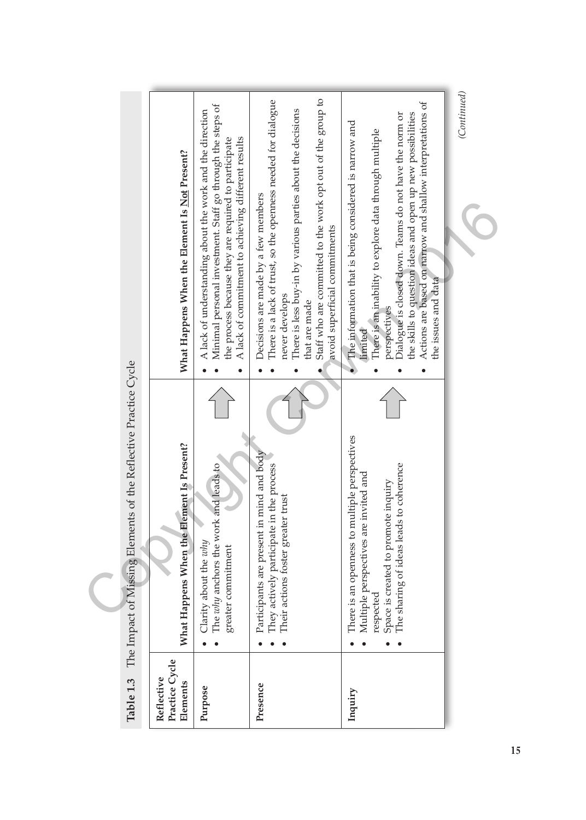|                                                                              | What Happens When the Element Is Not Present?                                         | Minimal personal investment. Staff go through the steps of<br>A lack of understanding about the work and the direction<br>A lack of commitment to achieving different results<br>the process because they are required to participate | Staff who are committed to the work opt out of the group to<br>There is a lack of trust, so the openness needed for dialogue<br>There is less buy-in by various parties about the decisions<br>Decisions are made by a few members<br>avoid superficial commitments<br>never develops<br>that are made | Actions are based on narrow and shallow interpretations of<br>the skills to question ideas and open up new possibilities<br>Dialogue is closed down. Teams do not have the norm or<br>The information that is being considered is narrow and<br>There is an inability to explore data through multiple<br>the issues and data<br>perspectives<br>limited | (Continued) |
|------------------------------------------------------------------------------|---------------------------------------------------------------------------------------|---------------------------------------------------------------------------------------------------------------------------------------------------------------------------------------------------------------------------------------|--------------------------------------------------------------------------------------------------------------------------------------------------------------------------------------------------------------------------------------------------------------------------------------------------------|----------------------------------------------------------------------------------------------------------------------------------------------------------------------------------------------------------------------------------------------------------------------------------------------------------------------------------------------------------|-------------|
| The Impact of Missing Elements of the Reflective Practice Cycle<br>Table 1.3 | What Happens When the Element Is Present?<br>Practice Cycle<br>Reflective<br>Elements | The why anchors the work and leads to<br>Clarity about the why<br>greater commitment<br>Purpose                                                                                                                                       | Participants are present in mind and body<br>They actively participate in the process<br>foster greater trust<br>Their actions<br>Presence                                                                                                                                                             | There is an openness to multiple perspectives<br>The sharing of ideas leads to coherence<br>Multiple perspectives are invited and<br>Space is created to promote inquiry<br>respected<br>Inquiry                                                                                                                                                         |             |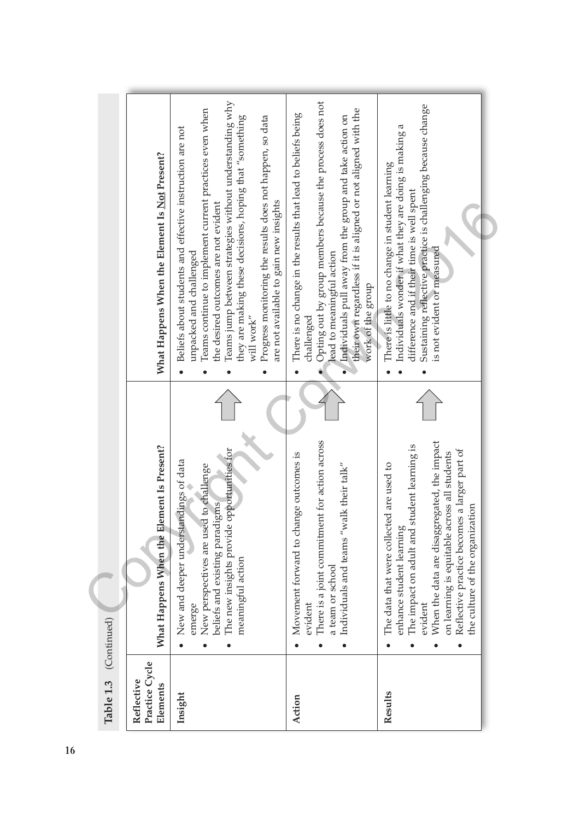|                       | What Happens When the Element Is Not Present? | Teams jump between strategies without understanding why<br>Teams continue to implement current practices even when<br>they are making these decisions, hoping that "something<br>Progress monitoring the results does not happen, so data<br>Beliefs about students and effective instruction are not<br>are not available to gain new insights<br>the desired outcomes are not evident<br>unpacked and challenged<br>will work" | Opting out by group members because the process does not<br>their own regardless if it is aligned or not aligned with the<br>There is no change in the results that lead to beliefs being<br>Individuals pull away from the group and take action on<br>lead to meaningful action<br>work of the group<br>challenged | Sustaining reflective practice is challenging because change<br>Individuals wonder if what they are doing is making a<br>There is little to no change in student learning<br>difference and if their time is well spent<br>is not evident or measured                                                            |
|-----------------------|-----------------------------------------------|----------------------------------------------------------------------------------------------------------------------------------------------------------------------------------------------------------------------------------------------------------------------------------------------------------------------------------------------------------------------------------------------------------------------------------|----------------------------------------------------------------------------------------------------------------------------------------------------------------------------------------------------------------------------------------------------------------------------------------------------------------------|------------------------------------------------------------------------------------------------------------------------------------------------------------------------------------------------------------------------------------------------------------------------------------------------------------------|
|                       | When the Element Is Present?<br>What Happens  | The new insights provide opportunities for<br>• New and deeper understandings of data<br>New perspectives are used to challenge<br>beliefs and existing paradigms<br>meaningful action<br>emerge                                                                                                                                                                                                                                 | There is a joint commitment for action across<br>Movement forward to change outcomes is<br>Individuals and teams "walk their talk"<br>a team or school<br>evident<br>$\bullet$                                                                                                                                       | When the data are disaggregated, the impact<br>The impact on adult and student learning is<br>Reflective practice becomes a larger part of<br>on learning is equitable across all students<br>The data that were collected are used to<br>the culture of the organization<br>enhance student learning<br>evident |
| Table 1.3 (Continued) | Practice Cycle<br>Reflective<br>Elements      | Insight                                                                                                                                                                                                                                                                                                                                                                                                                          | Action                                                                                                                                                                                                                                                                                                               | Results                                                                                                                                                                                                                                                                                                          |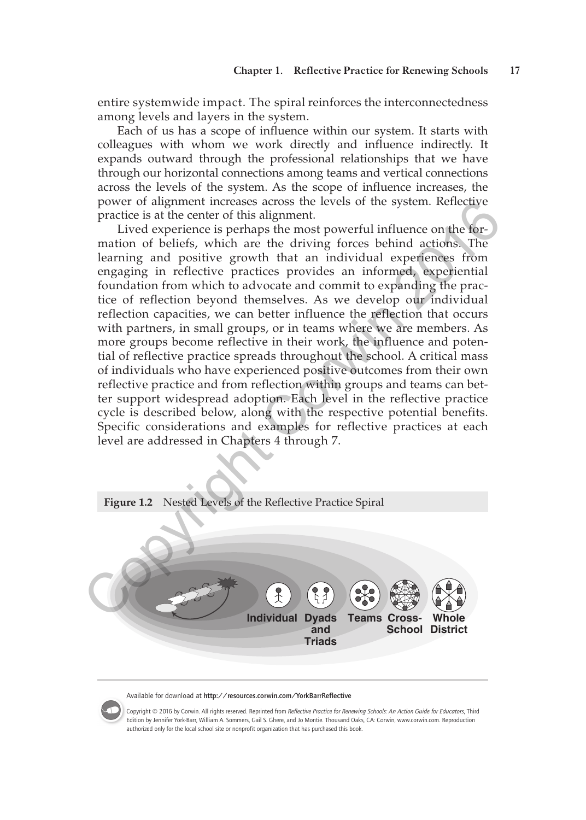entire systemwide impact. The spiral reinforces the interconnectedness among levels and layers in the system.

Each of us has a scope of influence within our system. It starts with colleagues with whom we work directly and influence indirectly. It expands outward through the professional relationships that we have through our horizontal connections among teams and vertical connections across the levels of the system. As the scope of influence increases, the power of alignment increases across the levels of the system. Reflective practice is at the center of this alignment.

Lived experience is perhaps the most powerful influence on the formation of beliefs, which are the driving forces behind actions. The learning and positive growth that an individual experiences from engaging in reflective practices provides an informed, experiential foundation from which to advocate and commit to expanding the practice of reflection beyond themselves. As we develop our individual reflection capacities, we can better influence the reflection that occurs with partners, in small groups, or in teams where we are members. As more groups become reflective in their work, the influence and potential of reflective practice spreads throughout the school. A critical mass of individuals who have experienced positive outcomes from their own reflective practice and from reflection within groups and teams can better support widespread adoption. Each level in the reflective practice cycle is described below, along with the respective potential benefits. Specific considerations and examples for reflective practices at each level are addressed in Chapters 4 through 7. across the levels of the system. Reflective<br>alignment.<br>ps the most powerful influence on the for-<br>the driving forces behind actions. The<br>th that an individual experiences from<br>ices provides an informed, experiential<br>vocate



**Figure 1.2** Nested Levels of the Reflective Practice Spiral

Available for download at http://resources.corwin.com/YorkBarrReflective

Copyright © 2016 by Corwin. All rights reserved. Reprinted from *Reflective Practice for Renewing Schools: An Action Guide for Educators*, Third Edition by Jennifer York-Barr, William A. Sommers, Gail S. Ghere, and Jo Montie. Thousand Oaks, CA: Corwin, www.corwin.com. Reproduction authorized only for the local school site or nonprofit organization that has purchased this book.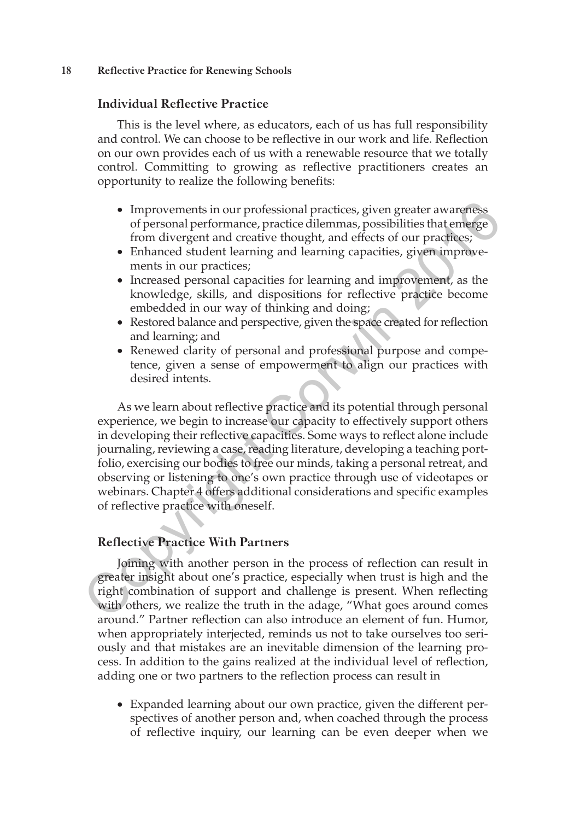## **Individual Reflective Practice**

This is the level where, as educators, each of us has full responsibility and control. We can choose to be reflective in our work and life. Reflection on our own provides each of us with a renewable resource that we totally control. Committing to growing as reflective practitioners creates an opportunity to realize the following benefits:

- Improvements in our professional practices, given greater awareness of personal performance, practice dilemmas, possibilities that emerge from divergent and creative thought, and effects of our practices;
- Enhanced student learning and learning capacities, given improvements in our practices;
- Increased personal capacities for learning and improvement, as the knowledge, skills, and dispositions for reflective practice become embedded in our way of thinking and doing;
- Restored balance and perspective, given the space created for reflection and learning; and
- Renewed clarity of personal and professional purpose and competence, given a sense of empowerment to align our practices with desired intents.

As we learn about reflective practice and its potential through personal experience, we begin to increase our capacity to effectively support others in developing their reflective capacities. Some ways to reflect alone include journaling, reviewing a case, reading literature, developing a teaching portfolio, exercising our bodies to free our minds, taking a personal retreat, and observing or listening to one's own practice through use of videotapes or webinars. Chapter 4 offers additional considerations and specific examples of reflective practice with oneself. Furnovements in our professional practices, given greater awareness<br>of personal performance, practice dilemmas, possibilities that emerge<br>from divergent and creative thought, and effects of our practices:<br>Financed student

## **Reflective Practice With Partners**

Joining with another person in the process of reflection can result in greater insight about one's practice, especially when trust is high and the right combination of support and challenge is present. When reflecting with others, we realize the truth in the adage, "What goes around comes around." Partner reflection can also introduce an element of fun. Humor, when appropriately interjected, reminds us not to take ourselves too seriously and that mistakes are an inevitable dimension of the learning process. In addition to the gains realized at the individual level of reflection, adding one or two partners to the reflection process can result in

• Expanded learning about our own practice, given the different perspectives of another person and, when coached through the process of reflective inquiry, our learning can be even deeper when we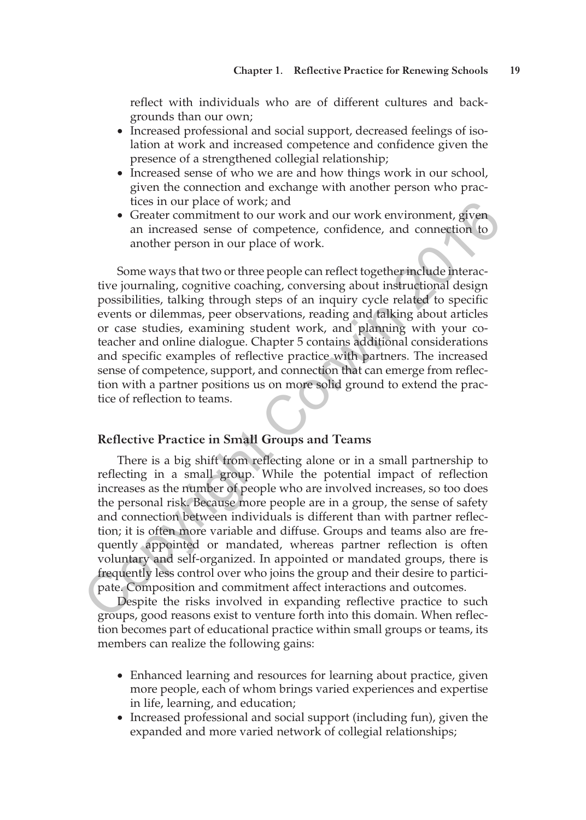reflect with individuals who are of different cultures and backgrounds than our own;

- Increased professional and social support, decreased feelings of isolation at work and increased competence and confidence given the presence of a strengthened collegial relationship;
- Increased sense of who we are and how things work in our school, given the connection and exchange with another person who practices in our place of work; and
- Greater commitment to our work and our work environment, given an increased sense of competence, confidence, and connection to another person in our place of work.

Some ways that two or three people can reflect together include interactive journaling, cognitive coaching, conversing about instructional design possibilities, talking through steps of an inquiry cycle related to specific events or dilemmas, peer observations, reading and talking about articles or case studies, examining student work, and planning with your coteacher and online dialogue. Chapter 5 contains additional considerations and specific examples of reflective practice with partners. The increased sense of competence, support, and connection that can emerge from reflection with a partner positions us on more solid ground to extend the practice of reflection to teams. these in our place of work; and durinor the state comparison our points of work and connection to another person in our place of work.<br>
Some ways that two or three people can reflect together include interaction to another

## **Reflective Practice in Small Groups and Teams**

There is a big shift from reflecting alone or in a small partnership to reflecting in a small group. While the potential impact of reflection increases as the number of people who are involved increases, so too does the personal risk. Because more people are in a group, the sense of safety and connection between individuals is different than with partner reflection; it is often more variable and diffuse. Groups and teams also are frequently appointed or mandated, whereas partner reflection is often voluntary and self-organized. In appointed or mandated groups, there is frequently less control over who joins the group and their desire to participate. Composition and commitment affect interactions and outcomes.

Despite the risks involved in expanding reflective practice to such groups, good reasons exist to venture forth into this domain. When reflection becomes part of educational practice within small groups or teams, its members can realize the following gains:

- Enhanced learning and resources for learning about practice, given more people, each of whom brings varied experiences and expertise in life, learning, and education;
- Increased professional and social support (including fun), given the expanded and more varied network of collegial relationships;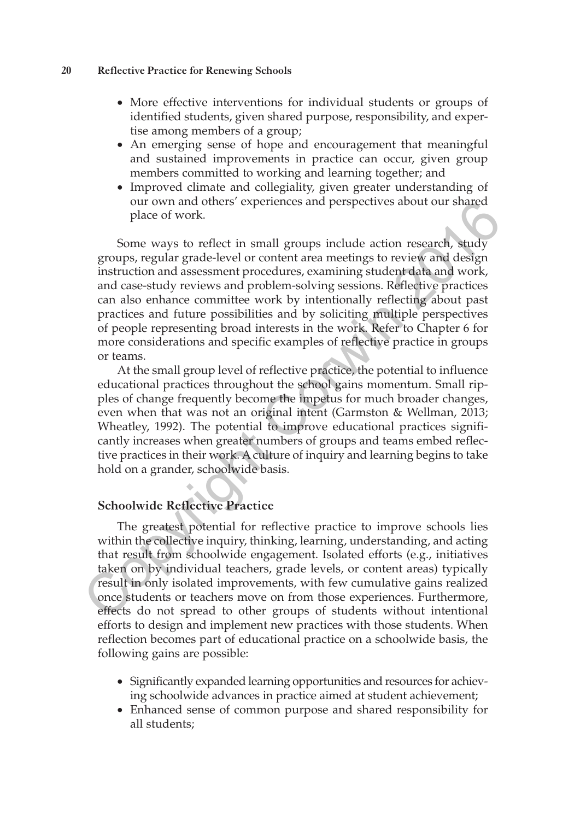- More effective interventions for individual students or groups of identified students, given shared purpose, responsibility, and expertise among members of a group;
- An emerging sense of hope and encouragement that meaningful and sustained improvements in practice can occur, given group members committed to working and learning together; and
- Improved climate and collegiality, given greater understanding of our own and others' experiences and perspectives about our shared place of work.

Some ways to reflect in small groups include action research, study groups, regular grade-level or content area meetings to review and design instruction and assessment procedures, examining student data and work, and case-study reviews and problem-solving sessions. Reflective practices can also enhance committee work by intentionally reflecting about past practices and future possibilities and by soliciting multiple perspectives of people representing broad interests in the work. Refer to Chapter 6 for more considerations and specific examples of reflective practice in groups or teams. our own and others' experiences and perspectives about our shared<br>place of work.<br>Some ways to reflect in small groups include action research, study<br>groups, regular grade-level or content area meetings to review and design

At the small group level of reflective practice, the potential to influence educational practices throughout the school gains momentum. Small ripples of change frequently become the impetus for much broader changes, even when that was not an original intent (Garmston & Wellman, 2013; Wheatley, 1992). The potential to improve educational practices significantly increases when greater numbers of groups and teams embed reflective practices in their work. A culture of inquiry and learning begins to take hold on a grander, schoolwide basis.

## **Schoolwide Reflective Practice**

The greatest potential for reflective practice to improve schools lies within the collective inquiry, thinking, learning, understanding, and acting that result from schoolwide engagement. Isolated efforts (e.g., initiatives taken on by individual teachers, grade levels, or content areas) typically result in only isolated improvements, with few cumulative gains realized once students or teachers move on from those experiences. Furthermore, effects do not spread to other groups of students without intentional efforts to design and implement new practices with those students. When reflection becomes part of educational practice on a schoolwide basis, the following gains are possible:

- Significantly expanded learning opportunities and resources for achieving schoolwide advances in practice aimed at student achievement;
- Enhanced sense of common purpose and shared responsibility for all students;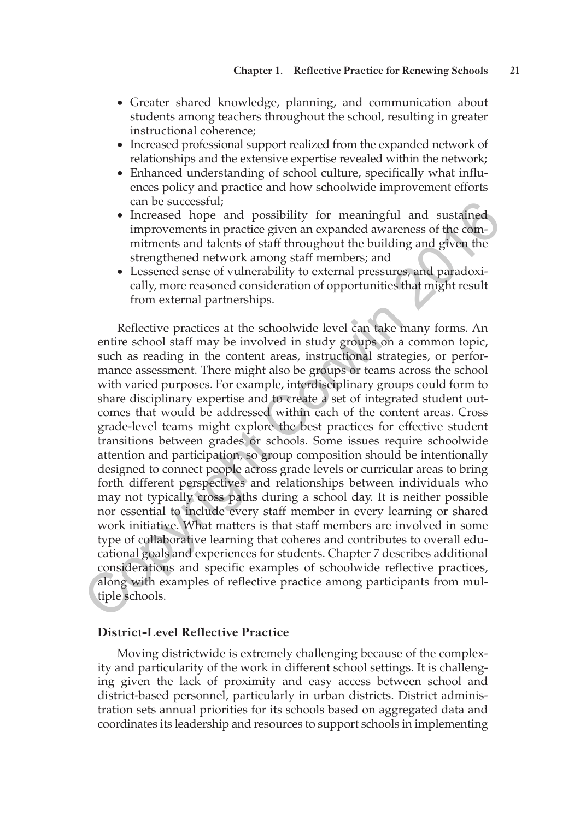- Greater shared knowledge, planning, and communication about students among teachers throughout the school, resulting in greater instructional coherence;
- Increased professional support realized from the expanded network of relationships and the extensive expertise revealed within the network;
- Enhanced understanding of school culture, specifically what influences policy and practice and how schoolwide improvement efforts can be successful;
- Increased hope and possibility for meaningful and sustained improvements in practice given an expanded awareness of the commitments and talents of staff throughout the building and given the strengthened network among staff members; and
- Lessened sense of vulnerability to external pressures, and paradoxically, more reasoned consideration of opportunities that might result from external partnerships.

Reflective practices at the schoolwide level can take many forms. An entire school staff may be involved in study groups on a common topic, such as reading in the content areas, instructional strategies, or performance assessment. There might also be groups or teams across the school with varied purposes. For example, interdisciplinary groups could form to share disciplinary expertise and to create a set of integrated student outcomes that would be addressed within each of the content areas. Cross grade-level teams might explore the best practices for effective student transitions between grades or schools. Some issues require schoolwide attention and participation, so group composition should be intentionally designed to connect people across grade levels or curricular areas to bring forth different perspectives and relationships between individuals who may not typically cross paths during a school day. It is neither possible nor essential to include every staff member in every learning or shared work initiative. What matters is that staff members are involved in some type of collaborative learning that coheres and contributes to overall educational goals and experiences for students. Chapter 7 describes additional considerations and specific examples of schoolwide reflective practices, along with examples of reflective practice among participants from multiple schools. can be successtui; or meaningful and sustained<br>an because those and possibility for meaningful and sustained<br>improvements in practice given an expanded awareness of the com-<br>mirmers and latents of staff throughout the buil

## **District-Level Reflective Practice**

Moving districtwide is extremely challenging because of the complexity and particularity of the work in different school settings. It is challenging given the lack of proximity and easy access between school and district-based personnel, particularly in urban districts. District administration sets annual priorities for its schools based on aggregated data and coordinates its leadership and resources to support schools in implementing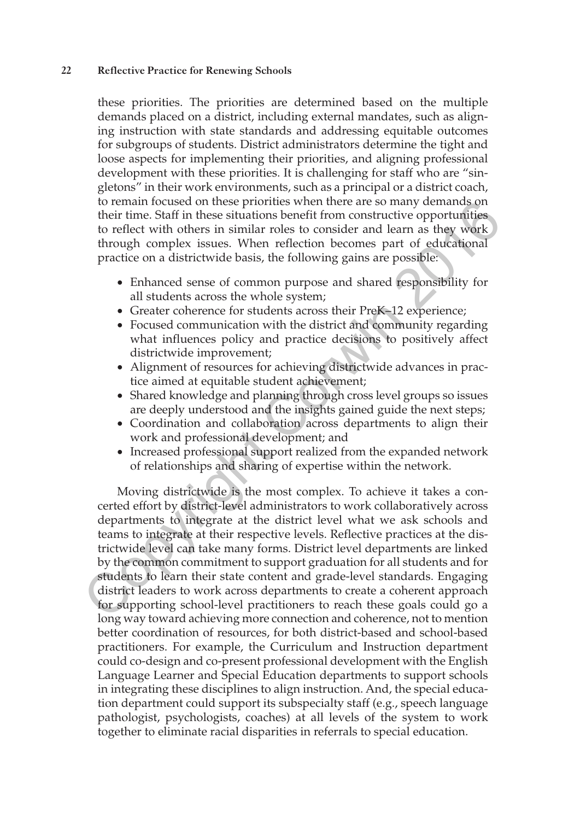these priorities. The priorities are determined based on the multiple demands placed on a district, including external mandates, such as aligning instruction with state standards and addressing equitable outcomes for subgroups of students. District administrators determine the tight and loose aspects for implementing their priorities, and aligning professional development with these priorities. It is challenging for staff who are "singletons" in their work environments, such as a principal or a district coach, to remain focused on these priorities when there are so many demands on their time. Staff in these situations benefit from constructive opportunities to reflect with others in similar roles to consider and learn as they work through complex issues. When reflection becomes part of educational practice on a districtwide basis, the following gains are possible:

- Enhanced sense of common purpose and shared responsibility for all students across the whole system;
- Greater coherence for students across their PreK–12 experience;
- Focused communication with the district and community regarding what influences policy and practice decisions to positively affect districtwide improvement;
- Alignment of resources for achieving districtwide advances in practice aimed at equitable student achievement;
- Shared knowledge and planning through cross level groups so issues are deeply understood and the insights gained guide the next steps;
- Coordination and collaboration across departments to align their work and professional development; and
- Increased professional support realized from the expanded network of relationships and sharing of expertise within the network.

Moving districtwide is the most complex. To achieve it takes a concerted effort by district-level administrators to work collaboratively across departments to integrate at the district level what we ask schools and teams to integrate at their respective levels. Reflective practices at the districtwide level can take many forms. District level departments are linked by the common commitment to support graduation for all students and for students to learn their state content and grade-level standards. Engaging district leaders to work across departments to create a coherent approach for supporting school-level practitioners to reach these goals could go a long way toward achieving more connection and coherence, not to mention better coordination of resources, for both district-based and school-based practitioners. For example, the Curriculum and Instruction department could co-design and co-present professional development with the English Language Learner and Special Education departments to support schools in integrating these disciplines to align instruction. And, the special education department could support its subspecialty staff (e.g., speech language pathologist, psychologists, coaches) at all levels of the system to work together to eliminate racial disparities in referrals to special education. to mean tocused on these protonts when there are so many demants on<br>their time. Staff in these situations benefit from constructive opportunities<br>to reflect with others in similar roles to consider and learn as they work<br>t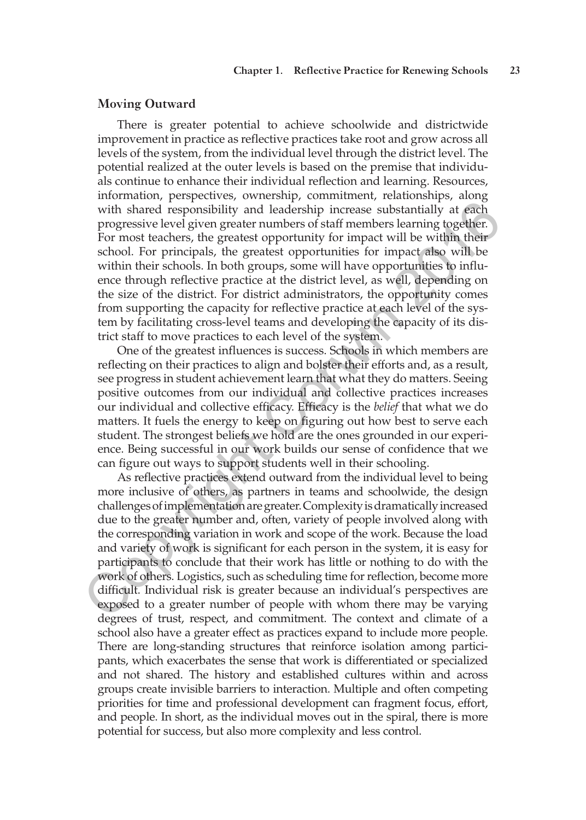## **Moving Outward**

There is greater potential to achieve schoolwide and districtwide improvement in practice as reflective practices take root and grow across all levels of the system, from the individual level through the district level. The potential realized at the outer levels is based on the premise that individuals continue to enhance their individual reflection and learning. Resources, information, perspectives, ownership, commitment, relationships, along with shared responsibility and leadership increase substantially at each progressive level given greater numbers of staff members learning together. For most teachers, the greatest opportunity for impact will be within their school. For principals, the greatest opportunities for impact also will be within their schools. In both groups, some will have opportunities to influence through reflective practice at the district level, as well, depending on the size of the district. For district administrators, the opportunity comes from supporting the capacity for reflective practice at each level of the system by facilitating cross-level teams and developing the capacity of its district staff to move practices to each level of the system.

One of the greatest influences is success. Schools in which members are reflecting on their practices to align and bolster their efforts and, as a result, see progress in student achievement learn that what they do matters. Seeing positive outcomes from our individual and collective practices increases our individual and collective efficacy. Efficacy is the *belief* that what we do matters. It fuels the energy to keep on figuring out how best to serve each student. The strongest beliefs we hold are the ones grounded in our experience. Being successful in our work builds our sense of confidence that we can figure out ways to support students well in their schooling.

As reflective practices extend outward from the individual level to being more inclusive of others, as partners in teams and schoolwide, the design challenges of implementation are greater. Complexity is dramatically increased due to the greater number and, often, variety of people involved along with the corresponding variation in work and scope of the work. Because the load and variety of work is significant for each person in the system, it is easy for participants to conclude that their work has little or nothing to do with the work of others. Logistics, such as scheduling time for reflection, become more difficult. Individual risk is greater because an individual's perspectives are exposed to a greater number of people with whom there may be varying degrees of trust, respect, and commitment. The context and climate of a school also have a greater effect as practices expand to include more people. There are long-standing structures that reinforce isolation among participants, which exacerbates the sense that work is differentiated or specialized and not shared. The history and established cultures within and across groups create invisible barriers to interaction. Multiple and often competing priorities for time and professional development can fragment focus, effort, and people. In short, as the individual moves out in the spiral, there is more potential for success, but also more complexity and less control. with shared responsibility and leadership increase substantially at each<br>progressive level given greater numbers of staff members learning together.<br>For most teachers, the greatest opportunity for impact valib e within th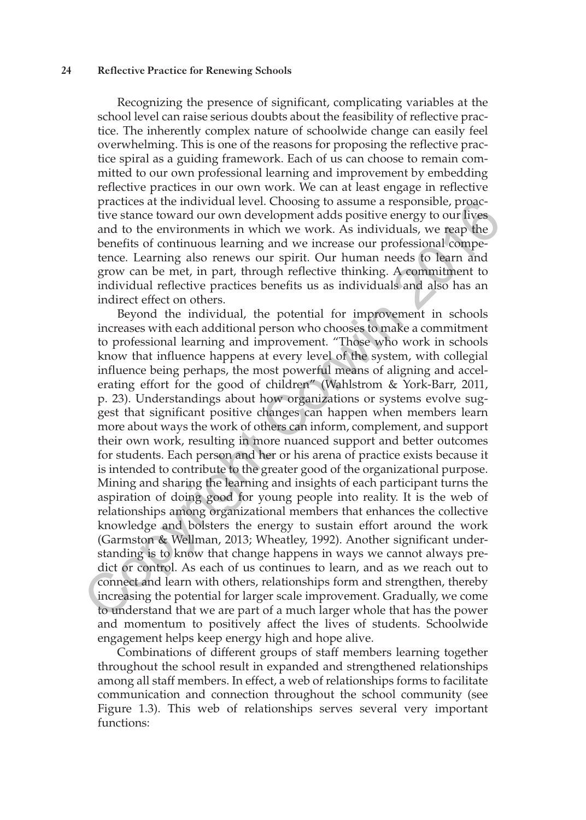Recognizing the presence of significant, complicating variables at the school level can raise serious doubts about the feasibility of reflective practice. The inherently complex nature of schoolwide change can easily feel overwhelming. This is one of the reasons for proposing the reflective practice spiral as a guiding framework. Each of us can choose to remain committed to our own professional learning and improvement by embedding reflective practices in our own work. We can at least engage in reflective practices at the individual level. Choosing to assume a responsible, proactive stance toward our own development adds positive energy to our lives and to the environments in which we work. As individuals, we reap the benefits of continuous learning and we increase our professional competence. Learning also renews our spirit. Our human needs to learn and grow can be met, in part, through reflective thinking. A commitment to individual reflective practices benefits us as individuals and also has an indirect effect on others.

Beyond the individual, the potential for improvement in schools increases with each additional person who chooses to make a commitment to professional learning and improvement. "Those who work in schools know that influence happens at every level of the system, with collegial influence being perhaps, the most powerful means of aligning and accelerating effort for the good of children" (Wahlstrom & York-Barr, 2011, p. 23). Understandings about how organizations or systems evolve suggest that significant positive changes can happen when members learn more about ways the work of others can inform, complement, and support their own work, resulting in more nuanced support and better outcomes for students. Each person and her or his arena of practice exists because it is intended to contribute to the greater good of the organizational purpose. Mining and sharing the learning and insights of each participant turns the aspiration of doing good for young people into reality. It is the web of relationships among organizational members that enhances the collective knowledge and bolsters the energy to sustain effort around the work (Garmston & Wellman, 2013; Wheatley, 1992). Another significant understanding is to know that change happens in ways we cannot always predict or control. As each of us continues to learn, and as we reach out to connect and learn with others, relationships form and strengthen, thereby increasing the potential for larger scale improvement. Gradually, we come to understand that we are part of a much larger whole that has the power and momentum to positively affect the lives of students. Schoolwide engagement helps keep energy high and hope alive. practices at the midivalual level. Choosing to assume a responsible, proach<br>vies stance toward our own development adds positive energy to our fives<br>and to the environments in which we work. As individuals, we reap the<br>ben

Combinations of different groups of staff members learning together throughout the school result in expanded and strengthened relationships among all staff members. In effect, a web of relationships forms to facilitate communication and connection throughout the school community (see Figure 1.3). This web of relationships serves several very important functions: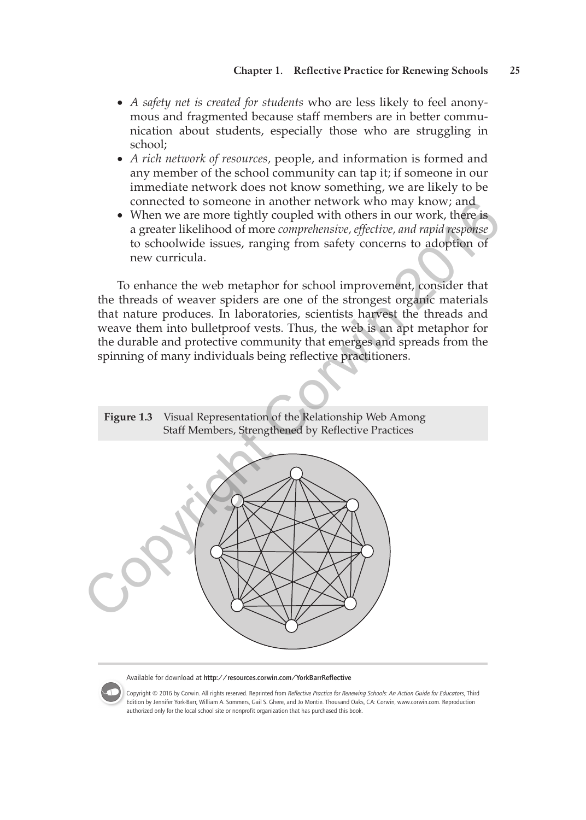- *A safety net is created for students* who are less likely to feel anonymous and fragmented because staff members are in better communication about students, especially those who are struggling in school;
- *A rich network of resources,* people, and information is formed and any member of the school community can tap it; if someone in our immediate network does not know something, we are likely to be connected to someone in another network who may know; and
- When we are more tightly coupled with others in our work, there is a greater likelihood of more *comprehensive, effective, and rapid response* to schoolwide issues, ranging from safety concerns to adoption of new curricula.

To enhance the web metaphor for school improvement, consider that the threads of weaver spiders are one of the strongest organic materials that nature produces. In laboratories, scientists harvest the threads and weave them into bulletproof vests. Thus, the web is an apt metaphor for the durable and protective community that emerges and spreads from the spinning of many individuals being reflective practitioners.





#### Available for download at http://resources.corwin.com/YorkBarrReflective



Copyright © 2016 by Corwin. All rights reserved. Reprinted from *Reflective Practice for Renewing Schools: An Action Guide for Educators*, Third Edition by Jennifer York-Barr, William A. Sommers, Gail S. Ghere, and Jo Montie. Thousand Oaks, CA: Corwin, www.corwin.com. Reproduction authorized only for the local school site or nonprofit organization that has purchased this book.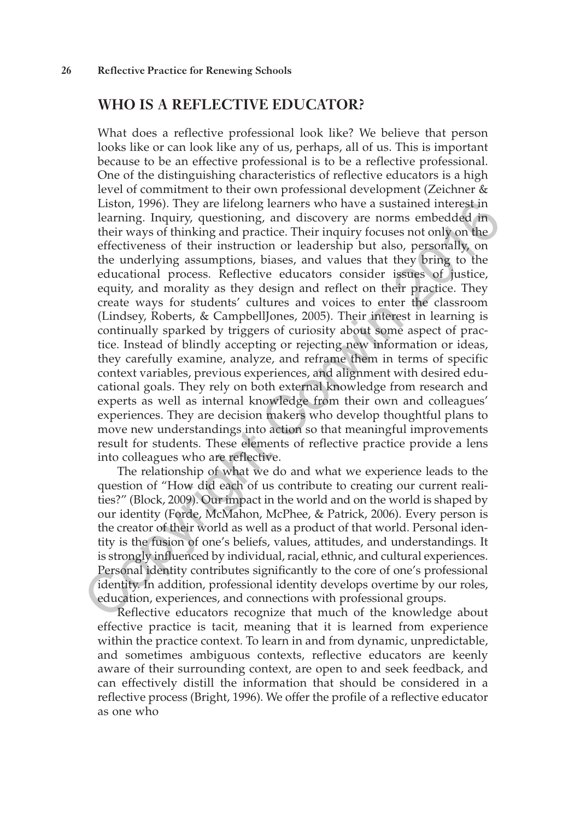## **WHO IS A REFLECTIVE EDUCATOR?**

What does a reflective professional look like? We believe that person looks like or can look like any of us, perhaps, all of us. This is important because to be an effective professional is to be a reflective professional. One of the distinguishing characteristics of reflective educators is a high level of commitment to their own professional development (Zeichner & Liston, 1996). They are lifelong learners who have a sustained interest in learning. Inquiry, questioning, and discovery are norms embedded in their ways of thinking and practice. Their inquiry focuses not only on the effectiveness of their instruction or leadership but also, personally, on the underlying assumptions, biases, and values that they bring to the educational process. Reflective educators consider issues of justice, equity, and morality as they design and reflect on their practice. They create ways for students' cultures and voices to enter the classroom (Lindsey, Roberts, & CampbellJones, 2005). Their interest in learning is continually sparked by triggers of curiosity about some aspect of practice. Instead of blindly accepting or rejecting new information or ideas, they carefully examine, analyze, and reframe them in terms of specific context variables, previous experiences, and alignment with desired educational goals. They rely on both external knowledge from research and experts as well as internal knowledge from their own and colleagues' experiences. They are decision makers who develop thoughtful plans to move new understandings into action so that meaningful improvements result for students. These elements of reflective practice provide a lens into colleagues who are reflective. Liston, 1996). They are lifelong learners who have a sustained interest in learning. Inquiry, questioning, and discovery are norms embedded in their ways of thinking and practice. Their inquiry focuses not only on the eff

The relationship of what we do and what we experience leads to the question of "How did each of us contribute to creating our current realities?" (Block, 2009). Our impact in the world and on the world is shaped by our identity (Forde, McMahon, McPhee, & Patrick, 2006). Every person is the creator of their world as well as a product of that world. Personal identity is the fusion of one's beliefs, values, attitudes, and understandings. It is strongly influenced by individual, racial, ethnic, and cultural experiences. Personal identity contributes significantly to the core of one's professional identity. In addition, professional identity develops overtime by our roles, education, experiences, and connections with professional groups.

Reflective educators recognize that much of the knowledge about effective practice is tacit, meaning that it is learned from experience within the practice context. To learn in and from dynamic, unpredictable, and sometimes ambiguous contexts, reflective educators are keenly aware of their surrounding context, are open to and seek feedback, and can effectively distill the information that should be considered in a reflective process (Bright, 1996). We offer the profile of a reflective educator as one who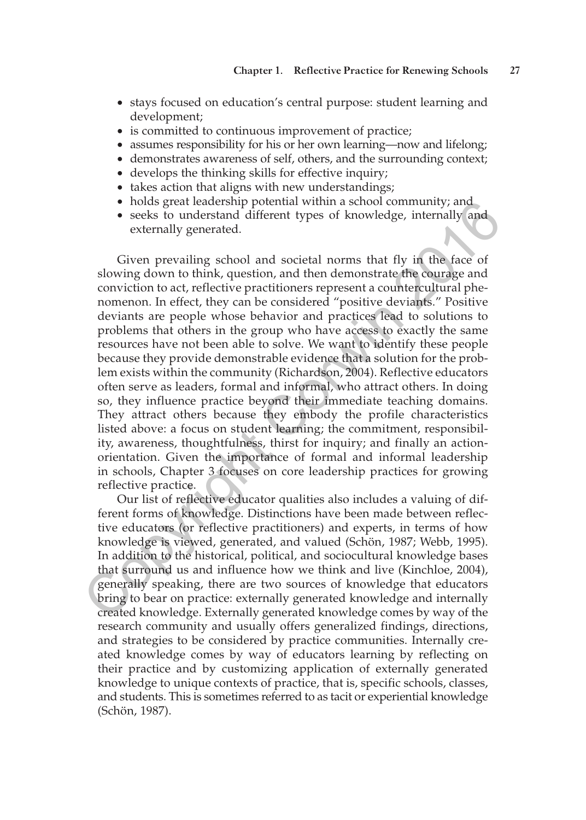- stays focused on education's central purpose: student learning and development;
- is committed to continuous improvement of practice;
- assumes responsibility for his or her own learning—now and lifelong;
- demonstrates awareness of self, others, and the surrounding context;
- develops the thinking skills for effective inquiry;
- takes action that aligns with new understandings;
- holds great leadership potential within a school community; and
- seeks to understand different types of knowledge, internally and externally generated.

Given prevailing school and societal norms that fly in the face of slowing down to think, question, and then demonstrate the courage and conviction to act, reflective practitioners represent a countercultural phenomenon. In effect, they can be considered "positive deviants." Positive deviants are people whose behavior and practices lead to solutions to problems that others in the group who have access to exactly the same resources have not been able to solve. We want to identify these people because they provide demonstrable evidence that a solution for the problem exists within the community (Richardson, 2004). Reflective educators often serve as leaders, formal and informal, who attract others. In doing so, they influence practice beyond their immediate teaching domains. They attract others because they embody the profile characteristics listed above: a focus on student learning; the commitment, responsibility, awareness, thoughtfulness, thirst for inquiry; and finally an actionorientation. Given the importance of formal and informal leadership in schools, Chapter 3 focuses on core leadership practices for growing reflective practice. • holds great leadership potential within a school community; and<br>• seeks to understand different types of knowledge, internally and<br>externally generated.<br>
Given prevailing school and societal norms that fly in the face of

Our list of reflective educator qualities also includes a valuing of different forms of knowledge. Distinctions have been made between reflective educators (or reflective practitioners) and experts, in terms of how knowledge is viewed, generated, and valued (Schön, 1987; Webb, 1995). In addition to the historical, political, and sociocultural knowledge bases that surround us and influence how we think and live (Kinchloe, 2004), generally speaking, there are two sources of knowledge that educators bring to bear on practice: externally generated knowledge and internally created knowledge. Externally generated knowledge comes by way of the research community and usually offers generalized findings, directions, and strategies to be considered by practice communities. Internally created knowledge comes by way of educators learning by reflecting on their practice and by customizing application of externally generated knowledge to unique contexts of practice, that is, specific schools, classes, and students. This is sometimes referred to as tacit or experiential knowledge (Schön, 1987).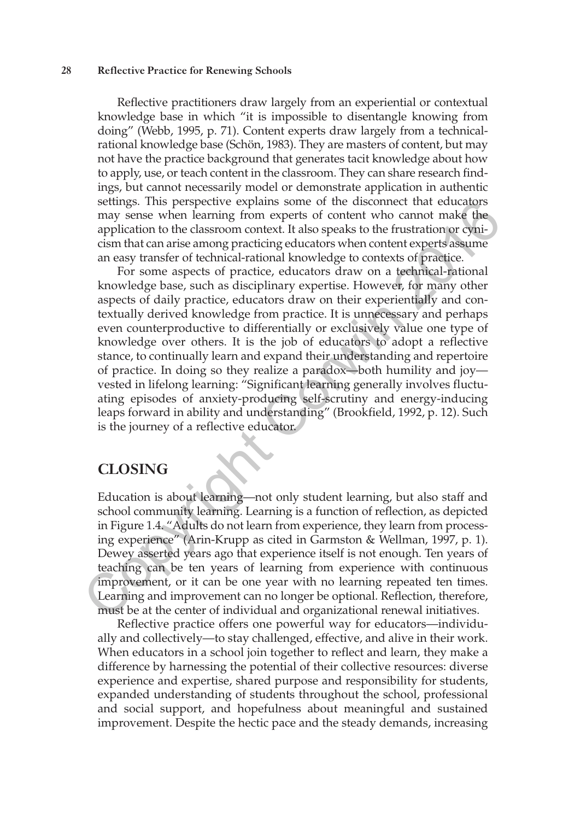Reflective practitioners draw largely from an experiential or contextual knowledge base in which "it is impossible to disentangle knowing from doing" (Webb, 1995, p. 71). Content experts draw largely from a technicalrational knowledge base (Schön, 1983). They are masters of content, but may not have the practice background that generates tacit knowledge about how to apply, use, or teach content in the classroom. They can share research findings, but cannot necessarily model or demonstrate application in authentic settings. This perspective explains some of the disconnect that educators may sense when learning from experts of content who cannot make the application to the classroom context. It also speaks to the frustration or cynicism that can arise among practicing educators when content experts assume an easy transfer of technical-rational knowledge to contexts of practice.

For some aspects of practice, educators draw on a technical-rational knowledge base, such as disciplinary expertise. However, for many other aspects of daily practice, educators draw on their experientially and contextually derived knowledge from practice. It is unnecessary and perhaps even counterproductive to differentially or exclusively value one type of knowledge over others. It is the job of educators to adopt a reflective stance, to continually learn and expand their understanding and repertoire of practice. In doing so they realize a paradox—both humility and joy vested in lifelong learning: "Significant learning generally involves fluctuating episodes of anxiety-producing self-scrutiny and energy-inducing leaps forward in ability and understanding" (Brookfield, 1992, p. 12). Such is the journey of a reflective educator. settings. Insperaently expains some of the disconnect that educators<br>may sense when learning from experts of content who cannot make the<br>application to the classroom context. It also speaks to the frustration or cyni-<br>cis

## **CLOSING**

Education is about learning—not only student learning, but also staff and school community learning. Learning is a function of reflection, as depicted in Figure 1.4. "Adults do not learn from experience, they learn from processing experience" (Arin-Krupp as cited in Garmston & Wellman, 1997, p. 1). Dewey asserted years ago that experience itself is not enough. Ten years of teaching can be ten years of learning from experience with continuous improvement, or it can be one year with no learning repeated ten times. Learning and improvement can no longer be optional. Reflection, therefore, must be at the center of individual and organizational renewal initiatives.

Reflective practice offers one powerful way for educators—individually and collectively—to stay challenged, effective, and alive in their work. When educators in a school join together to reflect and learn, they make a difference by harnessing the potential of their collective resources: diverse experience and expertise, shared purpose and responsibility for students, expanded understanding of students throughout the school, professional and social support, and hopefulness about meaningful and sustained improvement. Despite the hectic pace and the steady demands, increasing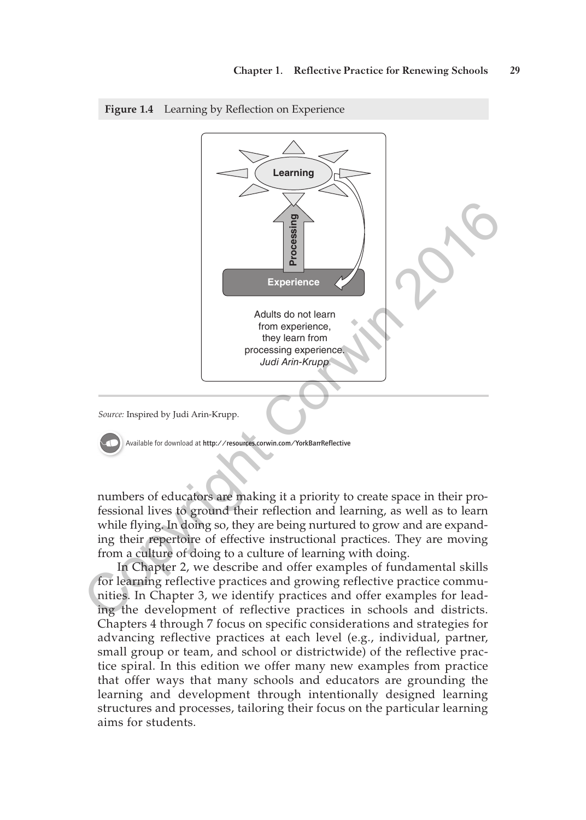

**Figure 1.4** Learning by Reflection on Experience

numbers of educators are making it a priority to create space in their professional lives to ground their reflection and learning, as well as to learn while flying. In doing so, they are being nurtured to grow and are expanding their repertoire of effective instructional practices. They are moving from a culture of doing to a culture of learning with doing.

In Chapter 2, we describe and offer examples of fundamental skills for learning reflective practices and growing reflective practice communities. In Chapter 3, we identify practices and offer examples for leading the development of reflective practices in schools and districts. Chapters 4 through 7 focus on specific considerations and strategies for advancing reflective practices at each level (e.g., individual, partner, small group or team, and school or districtwide) of the reflective practice spiral. In this edition we offer many new examples from practice that offer ways that many schools and educators are grounding the learning and development through intentionally designed learning structures and processes, tailoring their focus on the particular learning aims for students.